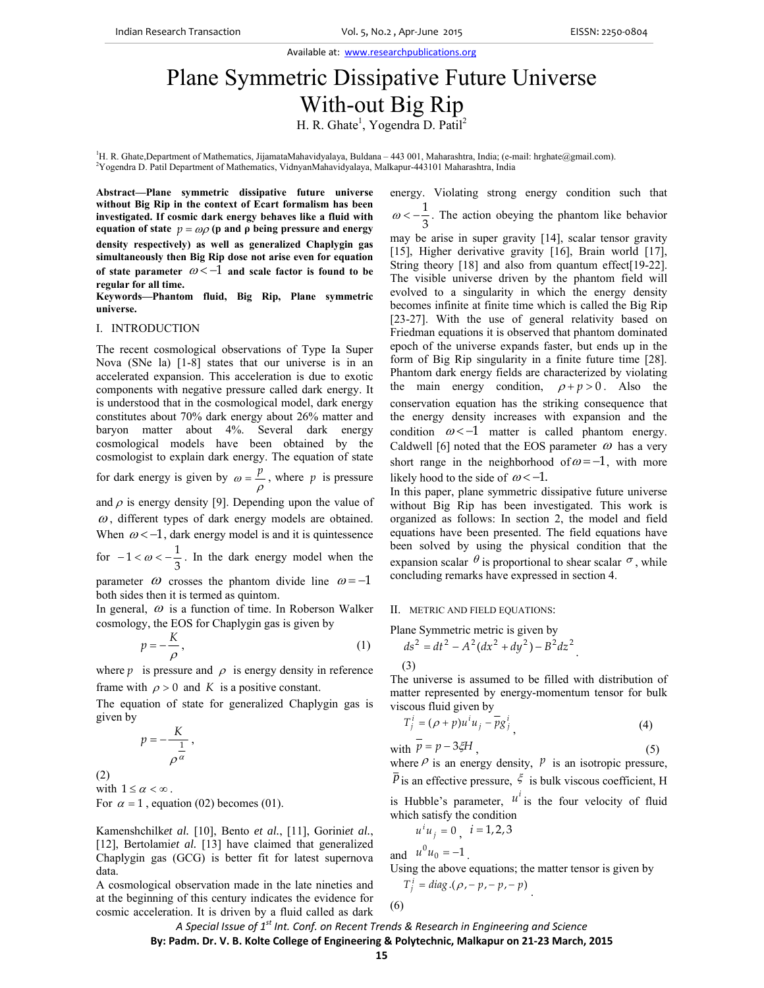Available at: www.researchpublications.org

# Plane Symmetric Dissipative Future Universe With-out Big Rip

H. R. Ghate<sup>1</sup>, Yogendra D. Patil<sup>2</sup>

<sup>1</sup>H. R. Ghate,Department of Mathematics, JijamataMahavidyalaya, Buldana – 443 001, Maharashtra, India; (e-mail: hrghate@gmail.com).<br><sup>2</sup>Vegandra D. Patil Department of Mathematics, VidnuanMahavidualaya, Malkany 443101 Maha <sup>2</sup>Yogendra D. Patil Department of Mathematics, VidnyanMahavidyalaya, Malkapur-443101 Maharashtra, India

**Abstract—Plane symmetric dissipative future universe without Big Rip in the context of Ecart formalism has been investigated. If cosmic dark energy behaves like a fluid with equation of state**  $p = ωρ$  (**p** and **ρ** being pressure and energy **density respectively) as well as generalized Chaplygin gas simultaneously then Big Rip dose not arise even for equation**  of state parameter  $\omega < -1$  and scale factor is found to be **regular for all time.** 

**Keywords—Phantom fluid, Big Rip, Plane symmetric universe.** 

#### I. INTRODUCTION

The recent cosmological observations of Type Ia Super Nova (SNe la) [1-8] states that our universe is in an accelerated expansion. This acceleration is due to exotic components with negative pressure called dark energy. It is understood that in the cosmological model, dark energy constitutes about 70% dark energy about 26% matter and baryon matter about 4%. Several dark energy cosmological models have been obtained by the cosmologist to explain dark energy. The equation of state for dark energy is given by  $\omega = \frac{p}{\rho}$ , where p is pressure

and  $\rho$  is energy density [9]. Depending upon the value of  $\omega$ , different types of dark energy models are obtained. When  $\omega < -1$ , dark energy model is and it is quintessence

for  $-1 < \omega < -\frac{1}{3}$ . In the dark energy model when the parameter  $\omega$  crosses the phantom divide line  $\omega = -1$ 

both sides then it is termed as quintom.

In general,  $\omega$  is a function of time. In Roberson Walker cosmology, the EOS for Chaplygin gas is given by

$$
p = -\frac{K}{\rho},\tag{1}
$$

where  $p$  is pressure and  $\rho$  is energy density in reference frame with  $\rho > 0$  and *K* is a positive constant.

The equation of state for generalized Chaplygin gas is given by

$$
p=-\frac{K}{\frac{1}{\rho^{\alpha}}},
$$

(2)

with  $1 \leq \alpha < \infty$ .

For  $\alpha = 1$ , equation (02) becomes (01).

Kamenshchilk*et al.* [10], Bento *et al.*, [11], Gorini*et al.*, [12], Bertolamiet al. [13] have claimed that generalized Chaplygin gas (GCG) is better fit for latest supernova data.

A cosmological observation made in the late nineties and at the beginning of this century indicates the evidence for cosmic acceleration. It is driven by a fluid called as dark energy. Violating strong energy condition such that 3  $\omega < -\frac{1}{2}$ . The action obeying the phantom like behavior may be arise in super gravity [14], scalar tensor gravity [15], Higher derivative gravity [16], Brain world [17], String theory [18] and also from quantum effect[19-22]. The visible universe driven by the phantom field will evolved to a singularity in which the energy density becomes infinite at finite time which is called the Big Rip [23-27]. With the use of general relativity based on Friedman equations it is observed that phantom dominated epoch of the universe expands faster, but ends up in the form of Big Rip singularity in a finite future time [28]. Phantom dark energy fields are characterized by violating the main energy condition,  $\rho + p > 0$ . Also the conservation equation has the striking consequence that the energy density increases with expansion and the condition  $\omega < -1$  matter is called phantom energy. Caldwell [6] noted that the EOS parameter  $\omega$  has a very short range in the neighborhood of  $\omega = -1$ , with more likely hood to the side of  $\omega < -1$ .

In this paper, plane symmetric dissipative future universe without Big Rip has been investigated. This work is organized as follows: In section 2, the model and field equations have been presented. The field equations have been solved by using the physical condition that the expansion scalar  $\theta$  is proportional to shear scalar  $\sigma$ , while concluding remarks have expressed in section 4.

### II. METRIC AND FIELD EQUATIONS:

Plane Symmetric metric is given by

$$
ds^2 = dt^2 - A^2 (dx^2 + dy^2) - B^2 dz^2
$$

(3)

The universe is assumed to be filled with distribution of matter represented by energy-momentum tensor for bulk viscous fluid given by

$$
T_j^i = (\rho + p)u^i u_j - \overline{p}g_j^i
$$
 (4)

with 
$$
p = p - 3\zeta H
$$
, (5)

where  $\rho$  is an energy density,  $p$  is an isotropic pressure, P is an effective pressure,  $\xi$  is bulk viscous coefficient, H

is Hubble's parameter,  $u^i$  is the four velocity of fluid which satisfy the condition

$$
u^i u_j = 0
$$
,  $i = 1, 2, 3$ 

and  $u^0 u_0 = -1$ . Using the above equations; the matter tensor is given by  $T_i^i = diag .(\rho, -p, -p, -p)$ 

$$
T_j^t = diag.(\rho, -p, -p, -p)
$$
  
(6)

*A Special Issue of 1st Int. Conf. on Recent Trends & Research in Engineering and Science* **By: Padm. Dr. V. B. Kolte College of Engineering & Polytechnic, Malkapur on 21‐23 March, 2015**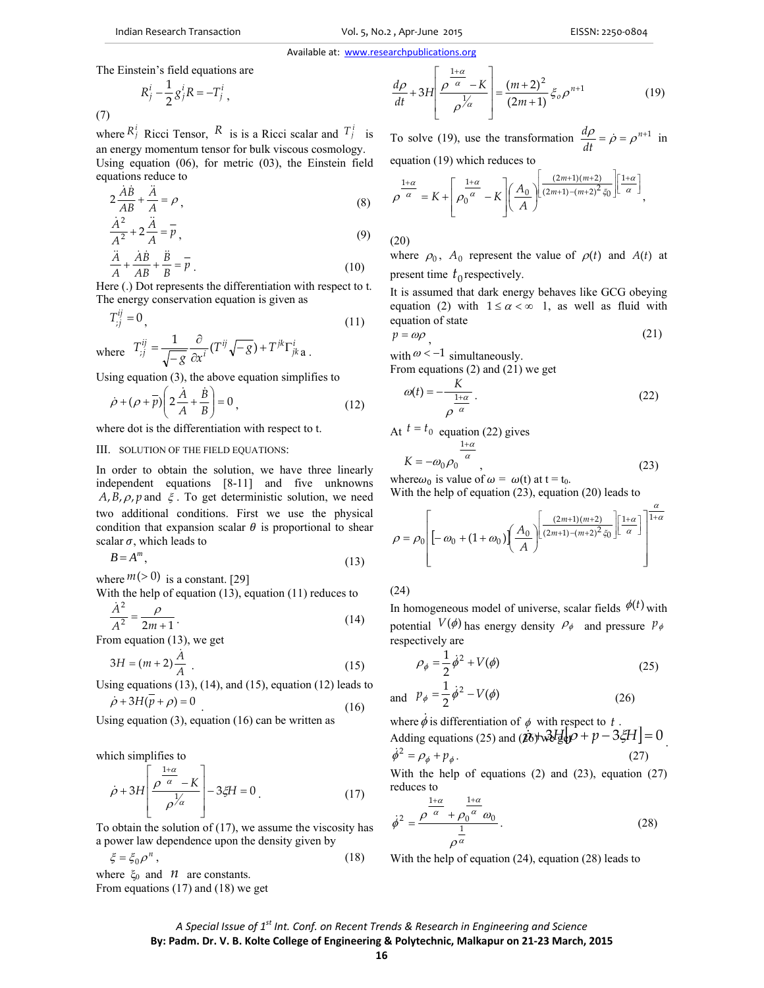Available at: www.researchpublications.org

The Einstein's field equations are

(7)

$$
R_j^i - \frac{1}{2} g_j^i R = -T_j^i ,
$$

where  $R_i^i$  Ricci Tensor,  $R$  is is a Ricci scalar and  $T_i^i$  is an energy momentum tensor for bulk viscous cosmology. Using equation (06), for metric (03), the Einstein field equations reduce to

$$
2\frac{\dot{AB}}{AB} + \frac{\ddot{A}}{A} = \rho \,,\tag{8}
$$

$$
\frac{\dot{A}^2}{A^2} + 2\frac{\ddot{A}}{A} = \overline{p},\tag{9}
$$

$$
\frac{\ddot{A}}{A} + \frac{\dot{A}\dot{B}}{AB} + \frac{\ddot{B}}{B} = \overline{p}
$$
\n(10)

Here (.) Dot represents the differentiation with respect to t. The energy conservation equation is given as

$$
T_{ij}^{ij} = 0,\t\t(11)
$$

where 
$$
T_{ij}^{ij} = \frac{1}{\sqrt{-g}} \frac{\partial}{\partial x^i} (T^{ij} \sqrt{-g}) + T^{jk} \Gamma_{jk}^i \mathbf{a}
$$
.

Using equation (3), the above equation simplifies to

$$
\dot{\rho} + (\rho + \bar{p}) \left( 2\frac{\dot{A}}{A} + \frac{\dot{B}}{B} \right) = 0, \qquad (12)
$$

where dot is the differentiation with respect to t.

## III. SOLUTION OF THE FIELD EQUATIONS:

In order to obtain the solution, we have three linearly independent equations [8-11] and five unknowns  $A$ ,  $B$ ,  $\rho$ ,  $p$  and  $\xi$ . To get deterministic solution, we need two additional conditions. First we use the physical condition that expansion scalar  $\theta$  is proportional to shear scalar  $\sigma$ , which leads to

$$
B = A^m,\tag{13}
$$

where  $m(>0)$  is a constant. [29]

With the help of equation (13), equation (11) reduces to  $\dot{A}^2$  *p* 

$$
\frac{1}{A^2} = \frac{P}{2m+1}.
$$
 (14)

From equation (13), we get

$$
3H = (m+2)\frac{\dot{A}}{A} \tag{15}
$$

Using equations  $(13)$ ,  $(14)$ , and  $(15)$ , equation  $(12)$  leads to  $\dot{\rho} + 3H(\bar{p} + \rho) = 0$  (16)

Using equation  $(3)$ , equation  $(16)$  can be written as

which simplifies to

$$
\dot{\rho} + 3H \left[ \frac{\rho^{\frac{1+\alpha}{\alpha}} - K}{\rho^{\frac{1}{\alpha}}} \right] - 3\xi H = 0 \tag{17}
$$

To obtain the solution of (17), we assume the viscosity has a power law dependence upon the density given by

$$
\xi = \xi_0 \rho^n \,,\tag{18}
$$

where  $\xi_0$  and  $\eta$  are constants. From equations (17) and (18) we get

$$
\frac{d\rho}{dt} + 3H \left[ \frac{\rho^{\frac{1+\alpha}{\alpha}} - K}{\rho^{\frac{1}{\alpha}}} \right] = \frac{(m+2)^2}{(2m+1)} \xi_o \rho^{n+1}
$$
(19)

To solve (19), use the transformation  $\frac{d\rho}{dr} = \dot{\rho} = \rho^{n+1}$ *dt*  $\frac{d\rho}{dt} = \dot{\rho} = \rho^{n+1}$  in equation (19) which reduces to

$$
\rho^{\frac{1+\alpha}{\alpha}} = K + \left[\rho_0^{\frac{1+\alpha}{\alpha}} - K\right] \left(\frac{A_0}{A}\right)^{\frac{(2m+1)(m+2)}{(2m+1)-(m+2)^2 \xi_0}} \left[\frac{1+\alpha}{\alpha}\right],
$$

(20)

where  $\rho_0$ ,  $A_0$  represent the value of  $\rho(t)$  and  $A(t)$  at present time  $t_0$  respectively.

It is assumed that dark energy behaves like GCG obeying equation (2) with  $1 \le \alpha < \infty$  1, as well as fluid with equation of state

$$
p = \omega \rho \tag{21}
$$

with  $\omega < -1$  simultaneously.

From equations (2) and (21) we get

$$
\omega(t) = -\frac{K}{\rho^{\alpha}}.
$$
\n(22)

At 
$$
t = t_0
$$
 equation (22) gives  

$$
\frac{1+\alpha}{\alpha}
$$

$$
K = -\omega_0 \rho_0 \frac{1}{\alpha},
$$
 (23)

where  $\omega_0$  is value of  $\omega = \omega(t)$  at  $t = t_0$ . With the help of equation (23), equation (20) leads to

$$
\rho = \rho_0 \left[ -\omega_0 + (1+\omega_0) \left( \frac{A_0}{A} \right)^{\left[ \frac{(2m+1)(m+2)}{(2m+1)-(m+2)^2 \zeta_0} \right] \left[ \frac{1+\alpha}{\alpha} \right]} \right]^{\frac{\alpha}{1+\alpha}}
$$

(24)

In homogeneous model of universe, scalar fields  $\phi(t)$  with potential  $V(\phi)$  has energy density  $\rho_{\phi}$  and pressure  $p_{\phi}$ respectively are

$$
\rho_{\phi} = \frac{1}{2}\dot{\phi}^2 + V(\phi) \tag{25}
$$

and 
$$
p_{\phi} = \frac{1}{2}\dot{\phi}^2 - V(\phi)
$$
 (26)

Adding equations (25) and  $(\mathbf{25})$  and  $(\mathbf{26})$  was  $\mathbf{24P} = 0$ . where  $\dot{\phi}$  is differentiation of  $\phi$  with respect to  $t$ .

$$
\dot{\phi}^2 = \rho_{\phi} + p_{\phi}.
$$
\n(27)

With the help of equations (2) and (23), equation (27) reduces to

$$
\dot{\phi}^2 = \frac{\rho^{\frac{1+\alpha}{\alpha}} + \rho_0^{\frac{1+\alpha}{\alpha}} \omega_0}{\rho^{\frac{1}{\alpha}}}.
$$
\n(28)

With the help of equation (24), equation (28) leads to

## *A Special Issue of 1st Int. Conf. on Recent Trends & Research in Engineering and Science* **By: Padm. Dr. V. B. Kolte College of Engineering & Polytechnic, Malkapur on 21‐23 March, 2015**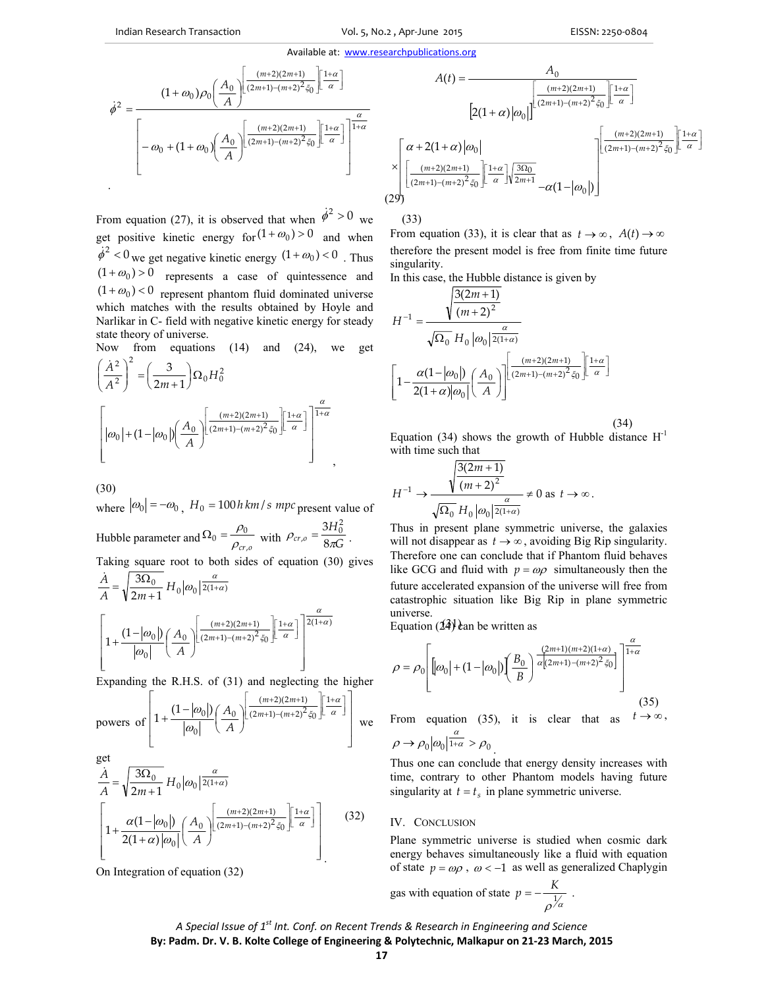(33)

#### Available at: www.researchpublications.org

$$
\dot{\phi}^{2} = \frac{(1+\omega_{0})\rho_{0}\left(\frac{A_{0}}{A}\right)^{\left[\frac{(m+2)(2m+1)}{(2m+1)-(m+2)^{2}\zeta_{0}}\right]\left[\frac{1+\alpha}{\alpha}\right]}}{\left[-\omega_{0}+(1+\omega_{0})\left(\frac{A_{0}}{A}\right)^{\left[\frac{(m+2)(2m+1)}{(2m+1)-(m+2)^{2}\zeta_{0}}\right]\left[\frac{1+\alpha}{\alpha}\right]}\right]^{\frac{\alpha}{1+\alpha}}}
$$

From equation (27), it is observed that when  $\dot{\phi}^2 > 0$  we get positive kinetic energy for  $(1 + \omega_0) > 0$  and when  $\dot{\phi}^2$  < 0 we get negative kinetic energy  $(1 + \omega_0)$  < 0 . Thus  $(1 + \omega_0) > 0$  represents a case of quintessence and  $(1 + \omega_0) < 0$  represent phantom fluid dominated universe which matches with the results obtained by Hoyle and Narlikar in C- field with negative kinetic energy for steady state theory of universe.

Now from equations (14) and (24), we get

$$
\left(\frac{\dot{A}^2}{A^2}\right)^2 = \left(\frac{3}{2m+1}\right)\Omega_0 H_0^2
$$

$$
\left[\left|\omega_0\right| + (1 - \left|\omega_0\right|) \left(\frac{A_0}{A}\right) \left[\frac{\frac{(m+2)(2m+1)}{(2m+1)-(m+2)^2 \xi_0}}{\left[\frac{1+\alpha}{\alpha}\right]}\right]^{\frac{\alpha}{1+\alpha}},\right]
$$

(30)

where  $|\omega_0| = -\omega_0$ ,  $H_0 = 100$ *h km / s mpc* present value of Hubble parameter and  $\Omega_0 = \frac{\partial^2 u}{\partial c_{r,o}}$  $\Omega_0 = \frac{\rho_0}{\rho_{cr,o}}$  with  $\rho_{cr,o} = \frac{3H_0^2}{8\pi G}$  $\rho_{cr,0} = \frac{1}{8\pi}$  $n = \frac{3H_0^2}{8\pi C}$ . Taking square root to both sides of equation (30) gives  $1+\alpha$ ] 2(1+ $\alpha$ )  $(2m+1)-(m+2)^2 \xi_0$  $(m+2)(2m+1)$  $\mathbf{0}$  $1+\frac{(1-|\omega_0|)}{1-|\omega_0|}\left(\frac{A_0}{A_0}\right)\left(\frac{(m+2)(2m+1)}{(2m+1)-(m+2)^2 \xi_0}\right)^{\left[\frac{1+\alpha}{\alpha}\right]}$  $\frac{0}{11} H_0 |\omega_0|^{2(1+\alpha)}$  $2m + 1$  $\frac{3\Omega_0}{H_0}H_0|\omega_0|^{\frac{\alpha}{2(1+\alpha)}}$ α α α ξ α  $\omega$  $\frac{\dot{A}}{A} = \sqrt{\frac{3\Omega_0}{2m+1}} H_0 |\omega_0| \frac{\alpha}{2(1+\alpha)}$  $^{+}$  $\left\lfloor \frac{1+\alpha}{\alpha} \right\rfloor$  $\lceil 1+$  $\overline{\phantom{a}}$ J J  $\overline{\phantom{a}}$ L L  $+1)-(m+$  $+2)(2m+$  $\overline{\phantom{a}}$ I  $\overline{\phantom{a}}$ L L L I  $\left(\frac{A_0}{\cdot}\right)$  $+\frac{(1-|\omega_0|)}{n} \left(\frac{A_0}{n}\right) \frac{\sqrt{2m+1}-(m+1)}{n}$ *m m A A*

 $\overline{\phantom{a}}$ L  $\overline{\phantom{a}}$ L Expanding the R.H.S. of (31) and neglecting the higher

J

*A*

powers of 
$$
\left[1+\frac{(1-|\omega_0|)}{|\omega_0|}\left(\frac{A_0}{A}\right)\left[\frac{(m+2)(2m+1)}{(2m+1)-(m+2)^2 \xi_0}\right]\left[\frac{1+\alpha}{\alpha}\right]\right]
$$
we

get

 $\mathbf{0}$ 

l

 $\omega$ 

$$
\frac{\dot{A}}{A} = \sqrt{\frac{3\Omega_0}{2m+1}} H_0 |\omega_0| \frac{\alpha}{2(1+\alpha)}
$$
\n
$$
\left[ 1 + \frac{\alpha (1-|\omega_0|)}{2(1+\alpha)|\omega_0|} \left(\frac{A_0}{A}\right) \frac{\left(\frac{(m+2)(2m+1)}{(2m+1)-(m+2)^2 \xi_0}\right)}{(2m+1)-(m+2)^2 \xi_0} \frac{1+\alpha}{\alpha} \right] \right] (32)
$$

On Integration of equation (32)

$$
A(t) = \frac{A_0}{\frac{\alpha}{\alpha}}
$$
\n
$$
[2(1+\alpha)|\omega_0|\left|^{\frac{(m+2)(2m+1)}{(2m+1)-(m+2)^2\zeta_0}}\right] \frac{[1+\alpha]}{\alpha}]
$$
\n
$$
\times \left[\frac{\alpha+2(1+\alpha)|\omega_0|}{\frac{(m+2)(2m+1)}{(2m+1)-(m+2)^2\zeta_0}}\right] \frac{[1+\alpha]}{\alpha}\frac{1}{2m+1} \frac{[1+\alpha]}{-\alpha(1-|\omega_0|)}]
$$
\n
$$
(29)
$$

From equation (33), it is clear that as  $t \to \infty$ ,  $A(t) \to \infty$ therefore the present model is free from finite time future singularity.

In this case, the Hubble distance is given by

$$
H^{-1} = \frac{\sqrt{\frac{3(2m+1)}{(m+2)^2}}}{\sqrt{\Omega_0} H_0 |\omega_0| \frac{\alpha}{2(1+\alpha)}}\n\left[1 - \frac{\alpha (1-|\omega_0|)}{2(1+\alpha)|\omega_0|} \left(\frac{A_0}{A}\right)\right]^{\left[\frac{(m+2)(2m+1)}{(2m+1)-(m+2)^2 \xi_0}\right]^{\left[\frac{1+\alpha}{\alpha}\right]}}
$$

(34)

Equation (34) shows the growth of Hubble distance  $H^{-1}$ with time such that

$$
H^{-1} \to \frac{\sqrt{\frac{3(2m+1)}{(m+2)^2}}}{\sqrt{\Omega_0} H_0 |\omega_0| \frac{\alpha}{2(1+\alpha)}} \neq 0 \text{ as } t \to \infty.
$$

Thus in present plane symmetric universe, the galaxies will not disappear as  $t \to \infty$ , avoiding Big Rip singularity. Therefore one can conclude that if Phantom fluid behaves like GCG and fluid with  $p = \omega \rho$  simultaneously then the future accelerated expansion of the universe will free from catastrophic situation like Big Rip in plane symmetric universe.

Equation  $(24)$  can be written as

$$
\rho = \rho_0 \left[ \left[ \omega_0 \right] + (1 - |\omega_0|) \left( \frac{B_0}{B} \right) \frac{\frac{(2m+1)(m+2)(1+\alpha)}{\alpha (2m+1) - (m+2)^2 \xi_0}}{\frac{(2m+1)(m+2)(1+\alpha)}{\alpha (2m+1) - (m+2)^2 \xi_0}} \right] \right] \tag{35}
$$

From equation (35), it is clear that as  $t \to \infty$ ,  $\rho \rightarrow \rho_0 \vert \omega_0 \vert \frac{\alpha}{1 + \alpha} > \rho_0$ 

Thus one can conclude that energy density increases with time, contrary to other Phantom models having future singularity at  $t = t_s$  in plane symmetric universe.

## IV. CONCLUSION

Plane symmetric universe is studied when cosmic dark energy behaves simultaneously like a fluid with equation of state  $p = \omega \rho$ ,  $\omega < -1$  as well as generalized Chaplygin

gas with equation of state 
$$
p = -\frac{K}{\rho^{\frac{1}{\alpha}}}
$$
.

# *A Special Issue of 1st Int. Conf. on Recent Trends & Research in Engineering and Science* **By: Padm. Dr. V. B. Kolte College of Engineering & Polytechnic, Malkapur on 21‐23 March, 2015**